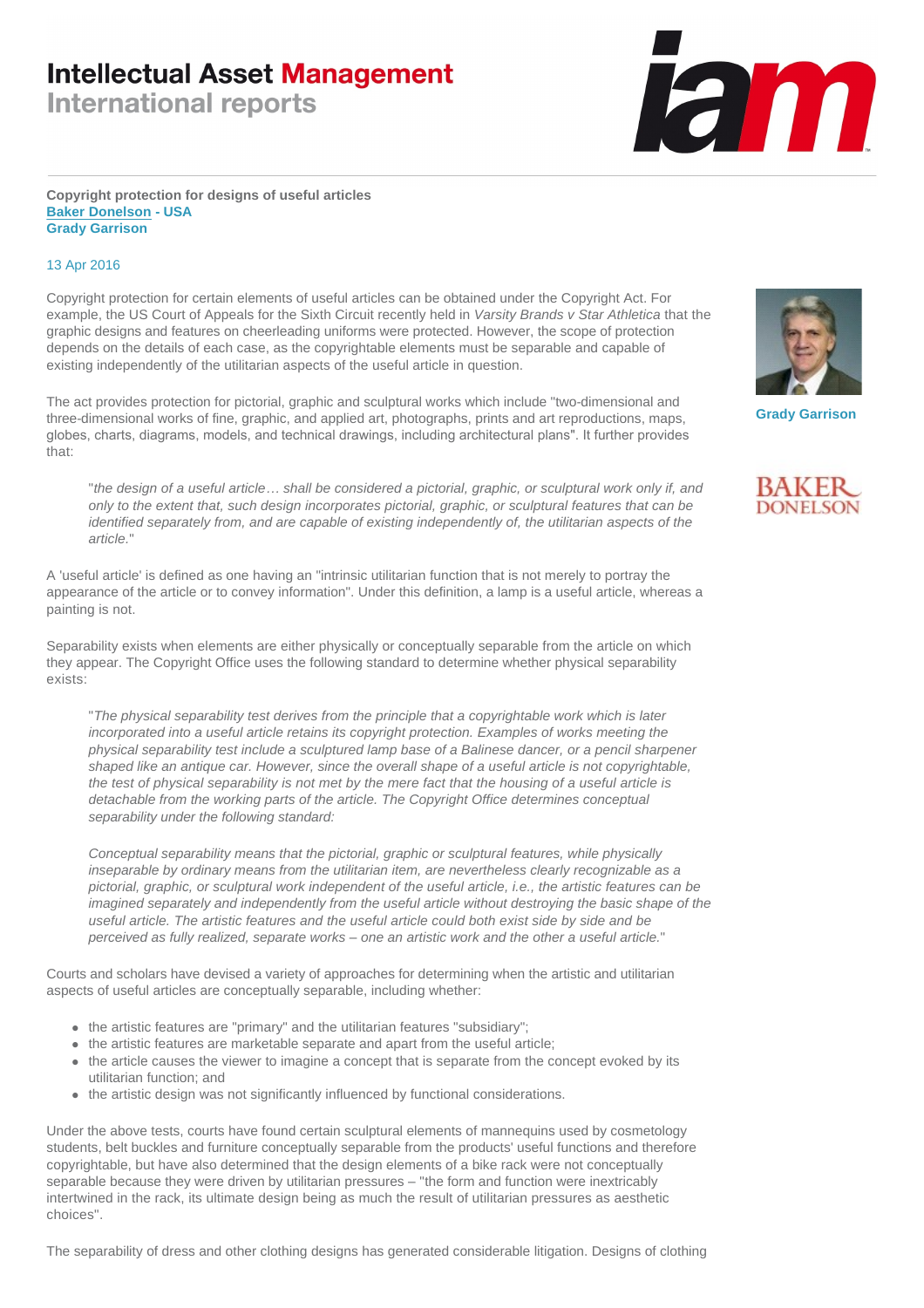## **Intellectual Asset Management**

**International reports** 



### **Copyright protection for designs of useful articles [Baker Donelson](http://www.iam-media.com/r.ashx?l=7R175KY) - USA Grady Garrison**

## 13 Apr 2016

Copyright protection for certain elements of useful articles can be obtained under the Copyright Act. For example, the US Court of Appeals for the Sixth Circuit recently held in *Varsity Brands v Star Athletica* that the graphic designs and features on cheerleading uniforms were protected. However, the scope of protection depends on the details of each case, as the copyrightable elements must be separable and capable of existing independently of the utilitarian aspects of the useful article in question.

The act provides protection for pictorial, graphic and sculptural works which include "two-dimensional and three-dimensional works of fine, graphic, and applied art, photographs, prints and art reproductions, maps, globes, charts, diagrams, models, and technical drawings, including architectural plans". It further provides that:

"*the design of a useful article… shall be considered a pictorial, graphic, or sculptural work only if, and only to the extent that, such design incorporates pictorial, graphic, or sculptural features that can be identified separately from, and are capable of existing independently of, the utilitarian aspects of the article.*"

A 'useful article' is defined as one having an "intrinsic utilitarian function that is not merely to portray the appearance of the article or to convey information". Under this definition, a lamp is a useful article, whereas a painting is not.

Separability exists when elements are either physically or conceptually separable from the article on which they appear. The Copyright Office uses the following standard to determine whether physical separability exists:

"*The physical separability test derives from the principle that a copyrightable work which is later incorporated into a useful article retains its copyright protection. Examples of works meeting the physical separability test include a sculptured lamp base of a Balinese dancer, or a pencil sharpener shaped like an antique car. However, since the overall shape of a useful article is not copyrightable, the test of physical separability is not met by the mere fact that the housing of a useful article is detachable from the working parts of the article. The Copyright Office determines conceptual separability under the following standard:*

*Conceptual separability means that the pictorial, graphic or sculptural features, while physically inseparable by ordinary means from the utilitarian item, are nevertheless clearly recognizable as a pictorial, graphic, or sculptural work independent of the useful article, i.e., the artistic features can be imagined separately and independently from the useful article without destroying the basic shape of the useful article. The artistic features and the useful article could both exist side by side and be perceived as fully realized, separate works – one an artistic work and the other a useful article.*"

Courts and scholars have devised a variety of approaches for determining when the artistic and utilitarian aspects of useful articles are conceptually separable, including whether:

- $\bullet$  the artistic features are "primary" and the utilitarian features "subsidiary";
- $\bullet\;$  the artistic features are marketable separate and apart from the useful article;
- the article causes the viewer to imagine a concept that is separate from the concept evoked by its utilitarian function; and
- $\bullet$  the artistic design was not significantly influenced by functional considerations.

Under the above tests, courts have found certain sculptural elements of mannequins used by cosmetology students, belt buckles and furniture conceptually separable from the products' useful functions and therefore copyrightable, but have also determined that the design elements of a bike rack were not conceptually separable because they were driven by utilitarian pressures – "the form and function were inextricably intertwined in the rack, its ultimate design being as much the result of utilitarian pressures as aesthetic choices".

The separability of dress and other clothing designs has generated considerable litigation. Designs of clothing



**Grady Garrison**